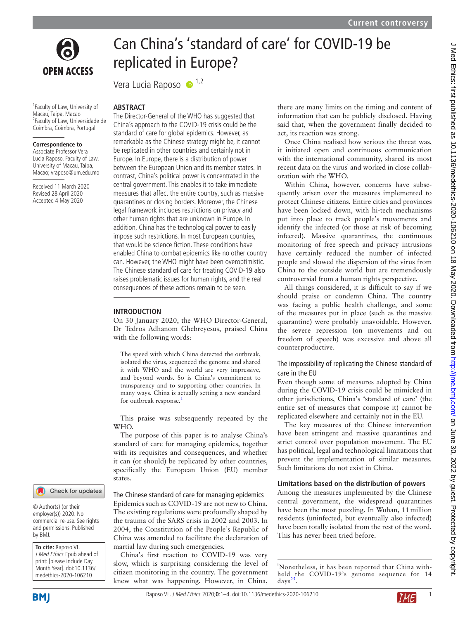

**OPEN ACCESS** 

1 Faculty of Law, University of Macau, Taipa, Macao 2 Faculty of Law, Universidade de Coimbra, Coimbra, Portugal

#### **Correspondence to**

Associate Professor Vera Lucia Raposo, Faculty of Law, University of Macau, Taipa, Macao; vraposo@um.edu.mo

Received 11 March 2020 Revised 28 April 2020 Accepted 4 May 2020

# Can China's 'standard of care' for COVID-19 be replicated in Europe?

Vera Lucia Raposo  $\bullet$ <sup>1,2</sup>

## **Abstract**

The Director-General of the WHO has suggested that China's approach to the COVID-19 crisis could be the standard of care for global epidemics. However, as remarkable as the Chinese strategy might be, it cannot be replicated in other countries and certainly not in Europe. In Europe, there is a distribution of power between the European Union and its member states. In contrast, China's political power is concentrated in the central government. This enables it to take immediate measures that affect the entire country, such as massive quarantines or closing borders. Moreover, the Chinese legal framework includes restrictions on privacy and other human rights that are unknown in Europe. In addition, China has the technological power to easily impose such restrictions. In most European countries, that would be science fiction. These conditions have enabled China to combat epidemics like no other country can. However, the WHO might have been overoptimistic. The Chinese standard of care for treating COVID-19 also raises problematic issues for human rights, and the real consequences of these actions remain to be seen.

#### **Introduction**

On 30 January 2020, the WHO Director-General, Dr Tedros Adhanom Ghebreyesus, praised China with the following words:

The speed with which China detected the outbreak, isolated the virus, sequenced the genome and shared it with WHO and the world are very impressive, and beyond words. So is China's commitment to transparency and to supporting other countries. In many ways, China is actually setting a new standard for outbreak response.<sup>[1](#page-3-0)</sup>

This praise was subsequently repeated by the WHO.

The purpose of this paper is to analyse China's standard of care for managing epidemics, together with its requisites and consequences, and whether it can (or should) be replicated by other countries, specifically the European Union (EU) member states.

## The Chinese standard of care for managing epidemics

Epidemics such as COVID-19 are not new to China. The existing regulations were profoundly shaped by the trauma of the SARS crisis in 2002 and 2003. In 2004, the Constitution of the People's Republic of China was amended to facilitate the declaration of martial law during such emergencies.

China's first reaction to COVID-19 was very slow, which is surprising considering the level of citizen monitoring in the country. The government knew what was happening. However, in China,

there are many limits on the timing and content of information that can be publicly disclosed. Having said that, when the government finally decided to act, its reaction was strong.

Once China realised how serious the threat was, it initiated open and continuous communication with the international community, shared its most recent data on the virus<sup>i</sup> and worked in close collaboration with the WHO.

Within China, however, concerns have subsequently arisen over the measures implemented to protect Chinese citizens. Entire cities and provinces have been locked down, with hi-tech mechanisms put into place to track people's movements and identify the infected (or those at risk of becoming infected). Massive quarantines, the continuous monitoring of free speech and privacy intrusions have certainly reduced the number of infected people and slowed the dispersion of the virus from China to the outside world but are tremendously controversial from a human rights perspective.

All things considered, it is difficult to say if we should praise or condemn China. The country was facing a public health challenge, and some of the measures put in place (such as the massive quarantine) were probably unavoidable. However, the severe repression (on movements and on freedom of speech) was excessive and above all counterproductive.

# The impossibility of replicating the Chinese standard of care in the EU

Even though some of measures adopted by China during the COVID-19 crisis could be mimicked in other jurisdictions, China's 'standard of care' (the entire set of measures that compose it) cannot be replicated elsewhere and certainly not in the EU.

The key measures of the Chinese intervention have been stringent and massive quarantines and strict control over population movement. The EU has political, legal and technological limitations that prevent the implementation of similar measures. Such limitations do not exist in China.

# **Limitations based on the distribution of powers**

Among the measures implemented by the Chinese central government, the widespread quarantines have been the most puzzling. In Wuhan, 11million residents (uninfected, but eventually also infected) have been totally isolated from the rest of the word. This has never been tried before.

i Nonetheless, it has been reported that China withheld the COVID-19's genome sequence for 14 days<sup>25</sup>.



by BMJ.

**To cite:** Raposo VL. J Med Ethics Epub ahead of print: [please include Day Month Year]. doi:10.1136/ medethics-2020-106210

© Author(s) (or their employer(s)) 2020. No commercial re-use. See rights and permissions. Published

Check for updates

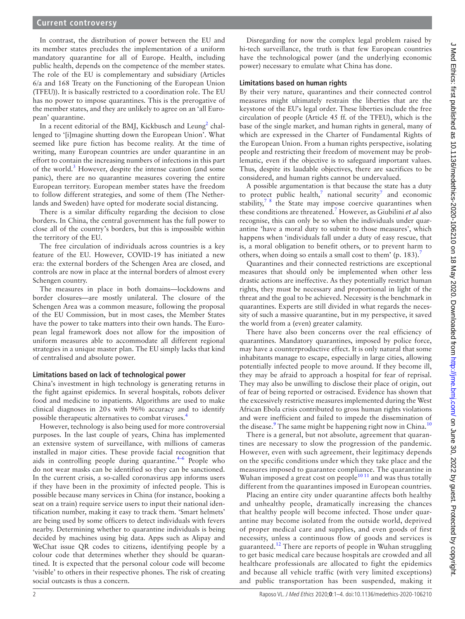# **Current controversy**

In contrast, the distribution of power between the EU and its member states precludes the implementation of a uniform mandatory quarantine for all of Europe. Health, including public health, depends on the competence of the member states. The role of the EU is complementary and subsidiary (Articles 6/a and 168 Treaty on the Functioning of the European Union (TFEU)). It is basically restricted to a coordination role. The EU has no power to impose quarantines. This is the prerogative of the member states, and they are unlikely to agree on an 'all European' quarantine.

In a recent editorial of the BMJ, Kickbusch and Leung<sup>2</sup> challenged to '[i]magine shutting down the European Union'. What seemed like pure fiction has become reality. At the time of writing, many European countries are under quarantine in an effort to contain the increasing numbers of infections in this part of the world.<sup>[3](#page-3-3)</sup> However, despite the intense caution (and some panic), there are no quarantine measures covering the entire European territory. European member states have the freedom to follow different strategies, and some of them (The Netherlands and Sweden) have opted for moderate social distancing.

There is a similar difficulty regarding the decision to close borders. In China, the central government has the full power to close all of the country's borders, but this is impossible within the territory of the EU.

The free circulation of individuals across countries is a key feature of the EU. However, COVID-19 has initiated a new era: the external borders of the Schengen Area are closed, and controls are now in place at the internal borders of almost every Schengen country.

The measures in place in both domains—lockdowns and border closures—are mostly unilateral. The closure of the Schengen Area was a common measure, following the proposal of the EU Commission, but in most cases, the Member States have the power to take matters into their own hands. The European legal framework does not allow for the imposition of uniform measures able to accommodate all different regional strategies in a unique master plan. The EU simply lacks that kind of centralised and absolute power.

## **Limitations based on lack of technological power**

China's investment in high technology is generating returns in the fight against epidemics. In several hospitals, robots deliver food and medicine to inpatients. Algorithms are used to make clinical diagnoses in 20s with 96% accuracy and to identify possible therapeutic alternatives to combat viruses[.4](#page-3-4)

However, technology is also being used for more controversial purposes. In the last couple of years, China has implemented an extensive system of surveillance, with millions of cameras installed in major cities. These provide facial recognition that aids in controlling people during quarantine. $4-6$  People who do not wear masks can be identified so they can be sanctioned. In the current crisis, a so-called coronavirus app informs users if they have been in the proximity of infected people. This is possible because many services in China (for instance, booking a seat on a train) require service users to input their national identification number, making it easy to track them. 'Smart helmets' are being used by some officers to detect individuals with fevers nearby. Determining whether to quarantine individuals is being decided by machines using big data. Apps such as Alipay and WeChat issue QR codes to citizens, identifying people by a colour code that determines whether they should be quarantined. It is expected that the personal colour code will become 'visible' to others in their respective phones. The risk of creating social outcasts is thus a concern.

Disregarding for now the complex legal problem raised by hi-tech surveillance, the truth is that few European countries have the technological power (and the underlying economic power) necessary to emulate what China has done.

#### **Limitations based on human rights**

By their very nature, quarantines and their connected control measures might ultimately restrain the liberties that are the keystone of the EU's legal order. These liberties include the free circulation of people (Article 45 ff. of the TFEU), which is the base of the single market, and human rights in general, many of which are expressed in the Charter of Fundamental Rights of the European Union. From a human rights perspective, isolating people and restricting their freedom of movement may be problematic, even if the objective is to safeguard important values. Thus, despite its laudable objectives, there are sacrifices to be considered, and human rights cannot be undervalued.

A possible argumentation is that because the state has a duty to protect public health,<sup>[7](#page-3-5)</sup> national security<sup>7</sup> and economic stability, $78$  the State may impose coercive quarantines when these conditions are threatened.[7](#page-3-5) However, as Giubilini *et al* also recognise, this can only be so when the individuals under quarantine 'have a moral duty to submit to those measures', which happens when 'individuals fall under a duty of easy rescue, that is, a moral obligation to benefit others, or to prevent harm to others, when doing so entails a small cost to them' (p. 183).<sup>7</sup>

Quarantines and their connected restrictions are exceptional measures that should only be implemented when other less drastic actions are ineffective. As they potentially restrict human rights, they must be necessary and proportional in light of the threat and the goal to be achieved. Necessity is the benchmark in quarantines. Experts are still divided in what regards the necessity of such a massive quarantine, but in my perspective, it saved the world from a (even) greater calamity.

There have also been concerns over the real efficiency of quarantines. Mandatory quarantines, imposed by police force, may have a counterproductive effect. It is only natural that some inhabitants manage to escape, especially in large cities, allowing potentially infected people to move around. If they become ill, they may be afraid to approach a hospital for fear of reprisal. They may also be unwilling to disclose their place of origin, out of fear of being reported or ostracised. Evidence has shown that the excessively restrictive measures implemented during the West African Ebola crisis contributed to gross human rights violations and were inefficient and failed to impede the dissemination of the disease.<sup>9</sup> The same might be happening right now in China.<sup>[10](#page-3-7)</sup>

There is a general, but not absolute, agreement that quarantines are necessary to slow the progression of the pandemic. However, even with such agreement, their legitimacy depends on the specific conditions under which they take place and the measures imposed to guarantee compliance. The quarantine in Wuhan imposed a great cost on people $10^{10}$  and was thus totally different from the quarantines imposed in European countries.

Placing an entire city under quarantine affects both healthy and unhealthy people, dramatically increasing the chances that healthy people will become infected. Those under quarantine may become isolated from the outside world, deprived of proper medical care and supplies, and even goods of first necessity, unless a continuous flow of goods and services is guaranteed.<sup>[12](#page-3-8)</sup> There are reports of people in Wuhan struggling to get basic medical care because hospitals are crowded and all healthcare professionals are allocated to fight the epidemics and because all vehicle traffic (with very limited exceptions) and public transportation has been suspended, making it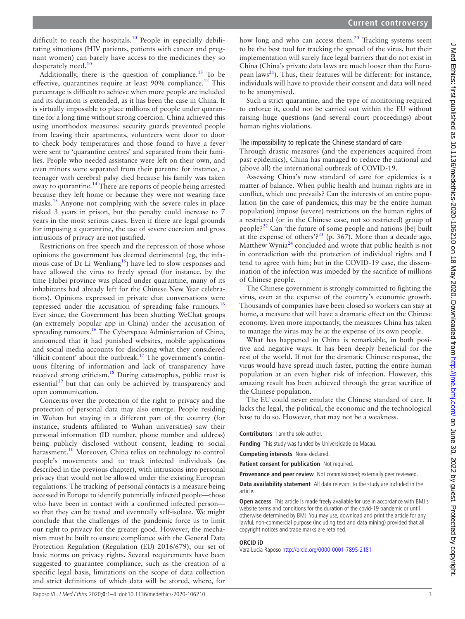difficult to reach the hospitals.<sup>10</sup> People in especially debilitating situations (HIV patients, patients with cancer and pregnant women) can barely have access to the medicines they so desperately need.<sup>[10](#page-3-7)</sup>

Additionally, there is the question of compliance.<sup>13</sup> To be effective, quarantines require at least 90% compliance.<sup>12</sup> This percentage is difficult to achieve when more people are included and its duration is extended, as it has been the case in China. It is virtually impossible to place millions of people under quarantine for a long time without strong coercion. China achieved this using unorthodox measures: security guards prevented people from leaving their apartments, volunteers went door to door to check body temperatures and those found to have a fever were sent to 'quarantine centres' and separated from their families. People who needed assistance were left on their own, and even minors were separated from their parents: for instance, a teenager with cerebral palsy died because his family was taken away to quarantine.<sup>14</sup> There are reports of people being arrested because they left home or because they were not wearing face masks.[15](#page-3-11) Anyone not complying with the severe rules in place risked 3 years in prison, but the penalty could increase to 7 years in the most serious cases. Even if there are legal grounds for imposing a quarantine, the use of severe coercion and gross intrusions of privacy are not justified.

Restrictions on free speech and the repression of those whose opinions the government has deemed detrimental (eg, the infamous case of Dr Li Wenliang<sup>16</sup>) have led to slow responses and have allowed the virus to freely spread (for instance, by the time Hubei province was placed under quarantine, many of its inhabitants had already left for the Chinese New Year celebrations). Opinions expressed in private chat conversations were repressed under the accusation of spreading false rumours.<sup>[16](#page-3-12)</sup> Ever since, the Government has been shutting WeChat groups (an extremely popular app in China) under the accusation of spreading rumours.<sup>16</sup> The Cyberspace Administration of China, announced that it had punished websites, mobile applications and social media accounts for disclosing what they considered 'illicit content' about the outbreak.<sup>17</sup> The government's continuous filtering of information and lack of transparency have received strong criticism[.18](#page-3-14) During catastrophes, public trust is essential<sup>19</sup> but that can only be achieved by transparency and open communication.

Concerns over the protection of the right to privacy and the protection of personal data may also emerge. People residing in Wuhan but staying in a different part of the country (for instance, students affiliated to Wuhan universities) saw their personal information (ID number, phone number and address) being publicly disclosed without consent, leading to social harassment.<sup>[10](#page-3-7)</sup> Moreover, China relies on technology to control people's movements and to track infected individuals (as described in the previous chapter), with intrusions into personal privacy that would not be allowed under the existing European regulations. The tracking of personal contacts is a measure being accessed in Europe to identify potentially infected people—those who have been in contact with a confirmed infected person so that they can be tested and eventually self-isolate. We might conclude that the challenges of the pandemic force us to limit our right to privacy for the greater good. However, the mechanism must be built to ensure compliance with the General Data Protection Regulation (Regulation (EU) 2016/679), our set of basic norms on privacy rights. Several requirements have been suggested to guarantee compliance, such as the creation of a specific legal basis, limitations on the scope of data collection and strict definitions of which data will be stored, where, for

how long and who can access them. $20$  Tracking systems seem to be the best tool for tracking the spread of the virus, but their implementation will surely face legal barriers that do not exist in China (China's private data laws are much looser than the Euro-pean laws<sup>[21](#page-3-17)</sup>). Thus, their features will be different: for instance, individuals will have to provide their consent and data will need to be anonymised.

Such a strict quarantine, and the type of monitoring required to enforce it, could not be carried out within the EU without raising huge questions (and several court proceedings) about human rights violations.

# The impossibility to replicate the Chinese standard of care

Through drastic measures (and the experiences acquired from past epidemics), China has managed to reduce the national and (above all) the international outbreak of COVID-19.

Assessing China's new standard of care for epidemics is a matter of balance. When public health and human rights are in conflict, which one prevails? Can the interests of an entire population (in the case of pandemics, this may be the entire human population) impose (severe) restrictions on the human rights of a restricted (or in the Chinese case, not so restricted) group of people? $22$  Can 'the future of some people and nations [be] built at the expense of others'?<sup>23</sup> (p. 367). More than a decade ago, Matthew Wynia<sup>[24](#page-3-20)</sup> concluded and wrote that public health is not in contradiction with the protection of individual rights and I tend to agree with him; but in the COVID-19 case, the dissemination of the infection was impeded by the sacrifice of millions of Chinese people.

The Chinese government is strongly committed to fighting the virus, even at the expense of the country's economic growth. Thousands of companies have been closed so workers can stay at home, a measure that will have a dramatic effect on the Chinese economy. Even more importantly, the measures China has taken to manage the virus may be at the expense of its own people.

What has happened in China is remarkable, in both positive and negative ways. It has been deeply beneficial for the rest of the world. If not for the dramatic Chinese response, the virus would have spread much faster, putting the entire human population at an even higher risk of infection. However, this amazing result has been achieved through the great sacrifice of the Chinese population.

The EU could never emulate the Chinese standard of care. It lacks the legal, the political, the economic and the technological base to do so. However, that may not be a weakness.

**Contributors** I am the sole author.

**Funding** This study was funded by Universidade de Macau.

**Competing interests** None declared.

**Patient consent for publication** Not required.

**Provenance and peer review** Not commissioned; externally peer reviewed.

**Data availability statement** All data relevant to the study are included in the article.

**Open access** This article is made freely available for use in accordance with BMJ's website terms and conditions for the duration of the covid-19 pandemic or until otherwise determined by BMJ. You may use, download and print the article for any lawful, non-commercial purpose (including text and data mining) provided that all copyright notices and trade marks are retained.

# **ORCID iD**

Vera Lucia Raposo <http://orcid.org/0000-0001-7895-2181>